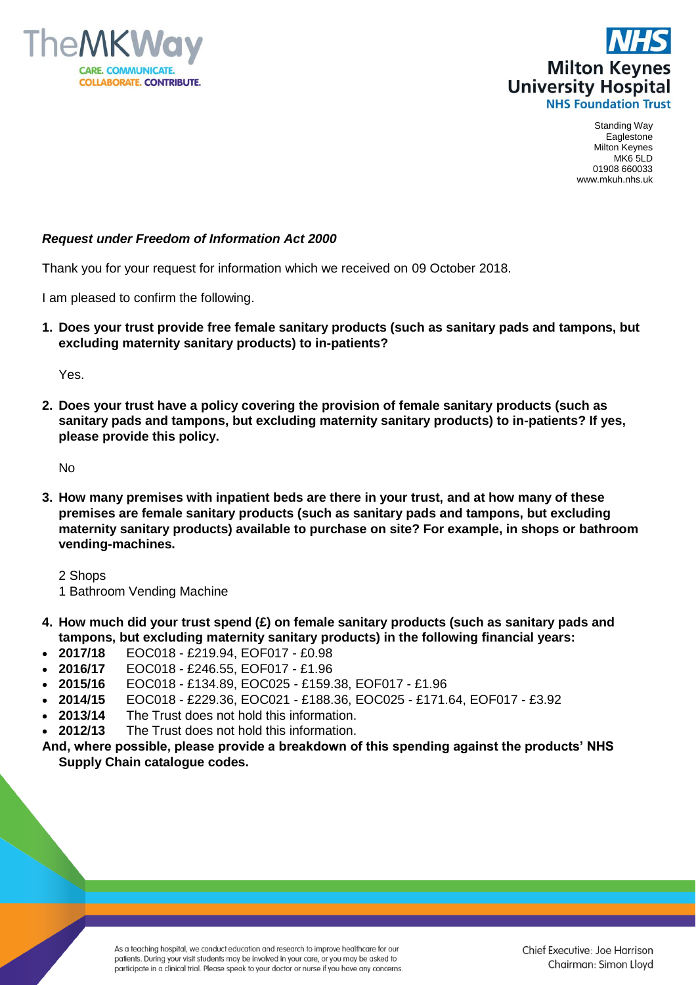



Standing Way Eaglestone Milton Keynes MK6 5LD 01908 660033 www.mkuh.nhs.uk

## *Request under Freedom of Information Act 2000*

Thank you for your request for information which we received on 09 October 2018.

I am pleased to confirm the following.

**1. Does your trust provide free female sanitary products (such as sanitary pads and tampons, but excluding maternity sanitary products) to in-patients?**

Yes.

**2. Does your trust have a policy covering the provision of female sanitary products (such as sanitary pads and tampons, but excluding maternity sanitary products) to in-patients? If yes, please provide this policy.**

No

**3. How many premises with inpatient beds are there in your trust, and at how many of these premises are female sanitary products (such as sanitary pads and tampons, but excluding maternity sanitary products) available to purchase on site? For example, in shops or bathroom vending-machines.**

2 Shops 1 Bathroom Vending Machine

- **4. How much did your trust spend (£) on female sanitary products (such as sanitary pads and tampons, but excluding maternity sanitary products) in the following financial years:**
- **2017/18** EOC018 £219.94, EOF017 £0.98
- **2016/17** EOC018 £246.55, EOF017 £1.96
- **2015/16** EOC018 £134.89, EOC025 £159.38, EOF017 £1.96
- **2014/15** EOC018 £229.36, EOC021 £188.36, EOC025 £171.64, EOF017 £3.92
- **2013/14** The Trust does not hold this information.
- **2012/13** The Trust does not hold this information.
- **And, where possible, please provide a breakdown of this spending against the products' NHS Supply Chain catalogue codes.**

As a teaching hospital, we conduct education and research to improve healthcare for our patients. During your visit students may be involved in your care, or you may be asked to participate in a clinical trial. Please speak to your doctor or nurse if you have any concerns.